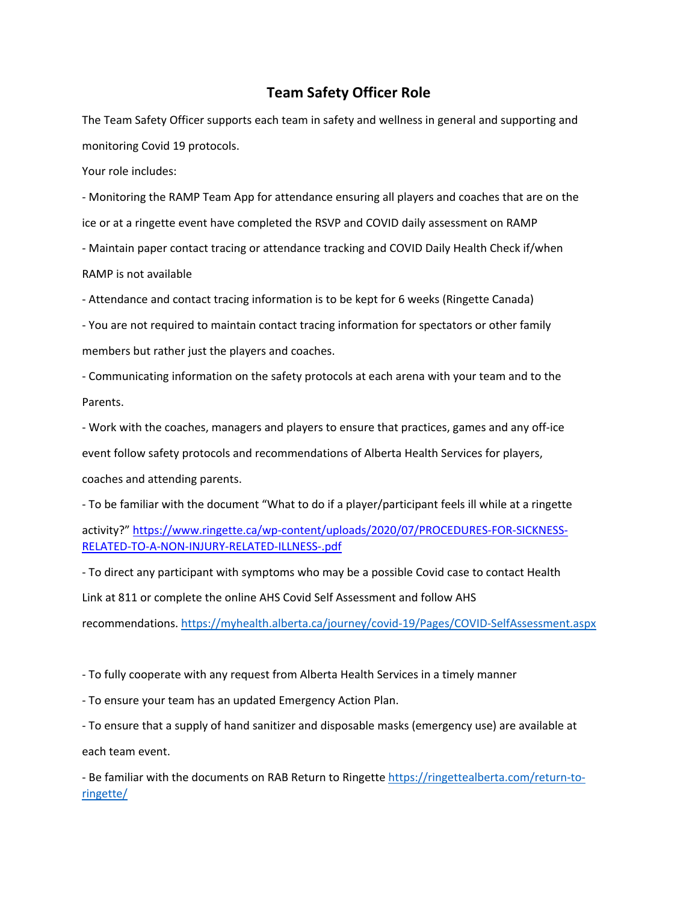## **Team Safety Officer Role**

The Team Safety Officer supports each team in safety and wellness in general and supporting and monitoring Covid 19 protocols.

Your role includes:

- Monitoring the RAMP Team App for attendance ensuring all players and coaches that are on the ice or at a ringette event have completed the RSVP and COVID daily assessment on RAMP

- Maintain paper contact tracing or attendance tracking and COVID Daily Health Check if/when RAMP is not available

- Attendance and contact tracing information is to be kept for 6 weeks (Ringette Canada)

- You are not required to maintain contact tracing information for spectators or other family members but rather just the players and coaches.

- Communicating information on the safety protocols at each arena with your team and to the Parents.

- Work with the coaches, managers and players to ensure that practices, games and any off-ice event follow safety protocols and recommendations of Alberta Health Services for players, coaches and attending parents.

- To be familiar with the document "What to do if a player/participant feels ill while at a ringette

activity?" https://www.ringette.ca/wp-content/uploads/2020/07/PROCEDURES-FOR-SICKNESS-RELATED-TO-A-NON-INJURY-RELATED-ILLNESS-.pdf

- To direct any participant with symptoms who may be a possible Covid case to contact Health Link at 811 or complete the online AHS Covid Self Assessment and follow AHS recommendations. https://myhealth.alberta.ca/journey/covid-19/Pages/COVID-SelfAssessment.aspx

- To fully cooperate with any request from Alberta Health Services in a timely manner

- To ensure your team has an updated Emergency Action Plan.

- To ensure that a supply of hand sanitizer and disposable masks (emergency use) are available at

each team event.

- Be familiar with the documents on RAB Return to Ringette https://ringettealberta.com/return-toringette/